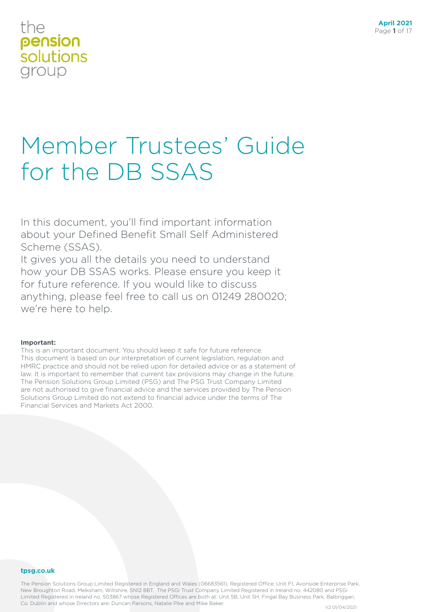# Member Trustees' Guide for the DB SSAS

In this document, you'll find important information about your Defined Benefit Small Self Administered Scheme (SSAS).

It gives you all the details you need to understand how your DB SSAS works. Please ensure you keep it for future reference. If you would like to discuss anything, please feel free to call us on 01249 280020; we're here to help.

#### **Important:**

This is an important document. You should keep it safe for future reference. This document is based on our interpretation of current legislation, regulation and HMRC practice and should not be relied upon for detailed advice or as a statement of law. It is important to remember that current tax provisions may change in the future. The Pension Solutions Group Limited (PSG) and The PSG Trust Company Limited are not authorised to give financial advice and the services provided by The Pension Solutions Group Limited do not extend to financial advice under the terms of The Financial Services and Markets Act 2000.

#### **tpsg.co.uk**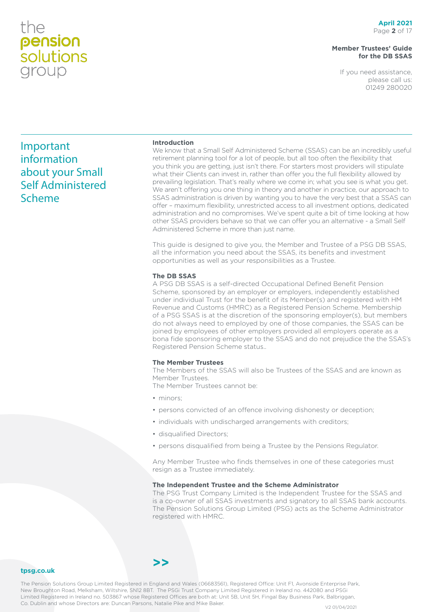#### **Member Trustees' Guide for the DB SSAS**

If you need assistance, please call us: 01249 280020

### Important information about your Small Self Administered Scheme

#### **Introduction**

We know that a Small Self Administered Scheme (SSAS) can be an incredibly useful retirement planning tool for a lot of people, but all too often the flexibility that you think you are getting, just isn't there. For starters most providers will stipulate what their Clients can invest in, rather than offer you the full flexibility allowed by prevailing legislation. That's really where we come in; what you see is what you get. We aren't offering you one thing in theory and another in practice, our approach to SSAS administration is driven by wanting you to have the very best that a SSAS can offer – maximum flexibility, unrestricted access to all investment options, dedicated administration and no compromises. We've spent quite a bit of time looking at how other SSAS providers behave so that we can offer you an alternative - a Small Self Administered Scheme in more than just name.

This guide is designed to give you, the Member and Trustee of a PSG DB SSAS, all the information you need about the SSAS, its benefits and investment opportunities as well as your responsibilities as a Trustee.

#### **The DB SSAS**

A PSG DB SSAS is a self-directed Occupational Defined Benefit Pension Scheme, sponsored by an employer or employers, independently established under individual Trust for the benefit of its Member(s) and registered with HM Revenue and Customs (HMRC) as a Registered Pension Scheme. Membership of a PSG SSAS is at the discretion of the sponsoring employer(s), but members do not always need to employed by one of those companies, the SSAS can be joined by employees of other employers provided all employers operate as a bona fide sponsoring employer to the SSAS and do not prejudice the the SSAS's Registered Pension Scheme status..

#### **The Member Trustees**

The Members of the SSAS will also be Trustees of the SSAS and are known as Member Trustees.

The Member Trustees cannot be:

- minors;
- persons convicted of an offence involving dishonesty or deception;
- individuals with undischarged arrangements with creditors;
- disqualified Directors;
- persons disqualified from being a Trustee by the Pensions Regulator.

Any Member Trustee who finds themselves in one of these categories must resign as a Trustee immediately.

#### **The Independent Trustee and the Scheme Administrator**

The PSG Trust Company Limited is the Independent Trustee for the SSAS and is a co-owner of all SSAS investments and signatory to all SSAS bank accounts. The Pension Solutions Group Limited (PSG) acts as the Scheme Administrator registered with HMRC.

#### **tpsg.co.uk**

The Pension Solutions Group Limited Registered in England and Wales (06683561), Registered Office: Unit F1, Avonside Enterprise Park, New Broughton Road, Melksham, Wiltshire, SN12 8BT. The PSGi Trust Company Limited Registered in Ireland no. 442080 and PSGi Limited Registered in Ireland no. 503867 whose Registered Offices are both at: Unit 5B, Unit 5H, Fingal Bay Business Park, Balbriggan, Co. Dublin and whose Directors are: Duncan Parsons, Natalie Pike and Mike Baker.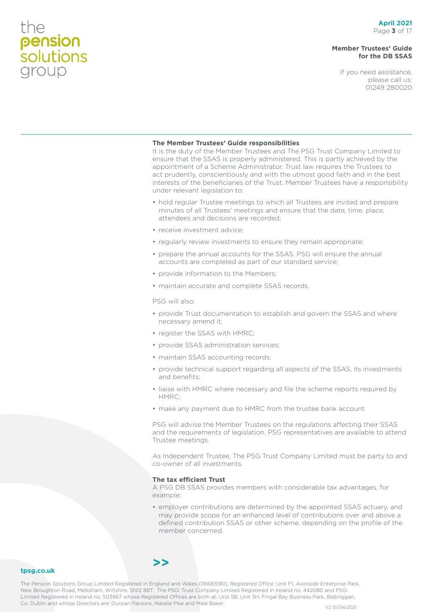#### **Member Trustees' Guide for the DB SSAS**

If you need assistance, please call us: 01249 280020

#### **The Member Trustees' Guide responsibilities**

It is the duty of the Member Trustees and The PSG Trust Company Limited to ensure that the SSAS is properly administered. This is partly achieved by the appointment of a Scheme Administrator. Trust law requires the Trustees to act prudently, conscientiously and with the utmost good faith and in the best interests of the beneficiaries of the Trust. Member Trustees have a responsibility under relevant legislation to:

- hold regular Trustee meetings to which all Trustees are invited and prepare minutes of all Trustees' meetings and ensure that the date, time, place, attendees and decisions are recorded;
- receive investment advice;
- regularly review investments to ensure they remain appropriate;
- prepare the annual accounts for the SSAS. PSG will ensure the annual accounts are completed as part of our standard service;
- provide information to the Members;
- maintain accurate and complete SSAS records.

PSG will also:

- provide Trust documentation to establish and govern the SSAS and where necessary amend it;
- register the SSAS with HMRC;
- provide SSAS administration services;
- maintain SSAS accounting records;
- provide technical support regarding all aspects of the SSAS, its investments and benefits;
- liaise with HMRC where necessary and file the scheme reports required by HMRC;
- make any payment due to HMRC from the trustee bank account.

PSG will advise the Member Trustees on the regulations affecting their SSAS and the requirements of legislation. PSG representatives are available to attend Trustee meetings.

As Independent Trustee, The PSG Trust Company Limited must be party to and co-owner of all investments.

#### **The tax efficient Trust**

A PSG DB SSAS provides members with considerable tax advantages, for example:

• employer contributions are determined by the appointed SSAS actuary, and may provide scope for an enhanced level of contributions over and above a defined contribution SSAS or other scheme, depending on the profile of the member concerned.

#### **tpsg.co.uk**

The Pension Solutions Group Limited Registered in England and Wales (06683561), Registered Office: Unit F1, Avonside Enterprise Park, New Broughton Road, Melksham, Wiltshire, SN12 8BT. The PSGi Trust Company Limited Registered in Ireland no. 442080 and PSGi Limited Registered in Ireland no. 503867 whose Registered Offices are both at: Unit 5B, Unit 5H, Fingal Bay Business Park, Balbriggan, Co. Dublin and whose Directors are: Duncan Parsons, Natalie Pike and Mike Baker. V2 01/04/2021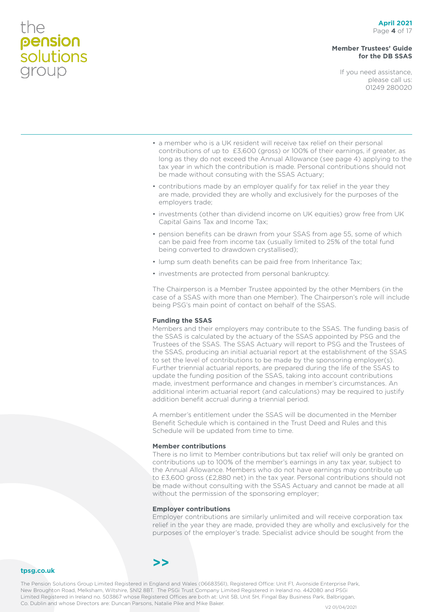#### **Member Trustees' Guide for the DB SSAS**

If you need assistance, please call us: 01249 280020

- a member who is a UK resident will receive tax relief on their personal contributions of up to £3,600 (gross) or 100% of their earnings, if greater, as long as they do not exceed the Annual Allowance (see page 4) applying to the tax year in which the contribution is made. Personal contributions should not be made without consuting with the SSAS Actuary;
- contributions made by an employer qualify for tax relief in the year they are made, provided they are wholly and exclusively for the purposes of the employers trade;
- investments (other than dividend income on UK equities) grow free from UK Capital Gains Tax and Income Tax;
- pension benefits can be drawn from your SSAS from age 55, some of which can be paid free from income tax (usually limited to 25% of the total fund being converted to drawdown crystallised);
- lump sum death benefits can be paid free from Inheritance Tax;
- investments are protected from personal bankruptcy.

The Chairperson is a Member Trustee appointed by the other Members (in the case of a SSAS with more than one Member). The Chairperson's role will include being PSG's main point of contact on behalf of the SSAS.

#### **Funding the SSAS**

Members and their employers may contribute to the SSAS. The funding basis of the SSAS is calculated by the actuary of the SSAS appointed by PSG and the Trustees of the SSAS. The SSAS Actuary will report to PSG and the Trustees of the SSAS, producing an initial actuarial report at the establishment of the SSAS to set the level of contributions to be made by the sponsoring employer(s). Further triennial actuarial reports, are prepared during the life of the SSAS to update the funding position of the SSAS, taking into account contributions made, investment performance and changes in member's circumstances. An additional interim actuarial report (and calculations) may be required to justify addition benefit accrual during a triennial period.

A member's entitlement under the SSAS will be documented in the Member Benefit Schedule which is contained in the Trust Deed and Rules and this Schedule will be updated from time to time.

#### **Member contributions**

There is no limit to Member contributions but tax relief will only be granted on contributions up to 100% of the member's earnings in any tax year, subject to the Annual Allowance. Members who do not have earnings may contribute up to £3,600 gross (£2,880 net) in the tax year. Personal contributions should not be made without consulting with the SSAS Actuary and cannot be made at all without the permission of the sponsoring employer;

#### **Employer contributions**

Employer contributions are similarly unlimited and will receive corporation tax relief in the year they are made, provided they are wholly and exclusively for the purposes of the employer's trade. Specialist advice should be sought from the

#### **tpsg.co.uk**

The Pension Solutions Group Limited Registered in England and Wales (06683561), Registered Office: Unit F1, Avonside Enterprise Park, New Broughton Road, Melksham, Wiltshire, SN12 8BT. The PSGi Trust Company Limited Registered in Ireland no. 442080 and PSGi Limited Registered in Ireland no. 503867 whose Registered Offices are both at: Unit 5B, Unit 5H, Fingal Bay Business Park, Balbriggan, Co. Dublin and whose Directors are: Duncan Parsons, Natalie Pike and Mike Baker.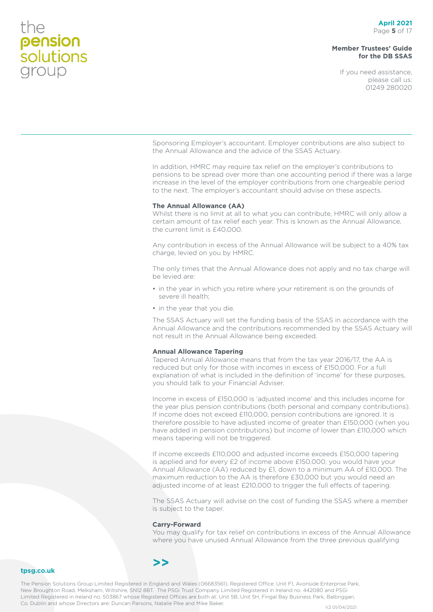**tpsg.co.uk**

#### **Member Trustees' Guide for the DB SSAS**

If you need assistance, please call us: 01249 280020

Sponsoring Employer's accountant. Employer contributions are also subject to the Annual Allowance and the advice of the SSAS Actuary.

In addition, HMRC may require tax relief on the employer's contributions to pensions to be spread over more than one accounting period if there was a large increase in the level of the employer contributions from one chargeable period to the next. The employer's accountant should advise on these aspects.

#### **The Annual Allowance (AA)**

Whilst there is no limit at all to what you can contribute, HMRC will only allow a certain amount of tax relief each year. This is known as the Annual Allowance, the current limit is £40,000.

Any contribution in excess of the Annual Allowance will be subject to a 40% tax charge, levied on you by HMRC.

The only times that the Annual Allowance does not apply and no tax charge will be levied are:

- in the year in which you retire where your retirement is on the grounds of severe ill health;
- in the year that you die.

The SSAS Actuary will set the funding basis of the SSAS in accordance with the Annual Allowance and the contributions recommended by the SSAS Actuary will not result in the Annual Allowance being exceeded.

#### **Annual Allowance Tapering**

Tapered Annual Allowance means that from the tax year 2016/17, the AA is reduced but only for those with incomes in excess of £150,000. For a full explanation of what is included in the definition of 'income' for these purposes, you should talk to your Financial Adviser.

Income in excess of £150,000 is 'adjusted income' and this includes income for the year plus pension contributions (both personal and company contributions). If income does not exceed £110,000, pension contributions are ignored. It is therefore possible to have adjusted income of greater than £150,000 (when you have added in pension contributions) but income of lower than £110,000 which means tapering will not be triggered.

If income exceeds £110,000 and adjusted income exceeds £150,000 tapering is applied and for every £2 of income above £150,000, you would have your Annual Allowance (AA) reduced by £1, down to a minimum AA of £10,000. The maximum reduction to the AA is therefore £30,000 but you would need an adjusted income of at least £210,000 to trigger the full effects of tapering.

The SSAS Actuary will advise on the cost of funding the SSAS where a member is subject to the taper.

#### **Carry-Forward**

You may qualify for tax relief on contributions in excess of the Annual Allowance where you have unused Annual Allowance from the three previous qualifying

### **>>**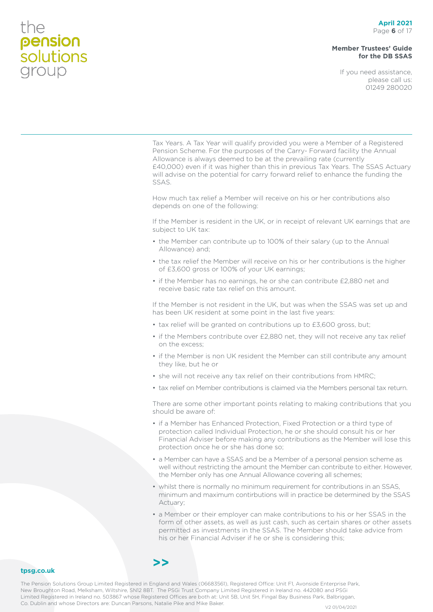#### **April 2021** Page **6** of 17

#### **Member Trustees' Guide for the DB SSAS**

If you need assistance, please call us: 01249 280020



permitted as investments in the SSAS. The Member should take advice from his or her Financial Adviser if he or she is considering this;

#### **tpsg.co.uk**

the

pension<br>solutions

group

The Pension Solutions Group Limited Registered in England and Wales (06683561), Registered Office: Unit F1, Avonside Enterprise Park, New Broughton Road, Melksham, Wiltshire, SN12 8BT. The PSGi Trust Company Limited Registered in Ireland no. 442080 and PSGi Limited Registered in Ireland no. 503867 whose Registered Offices are both at: Unit 5B, Unit 5H, Fingal Bay Business Park, Balbriggan, Co. Dublin and whose Directors are: Duncan Parsons, Natalie Pike and Mike Baker.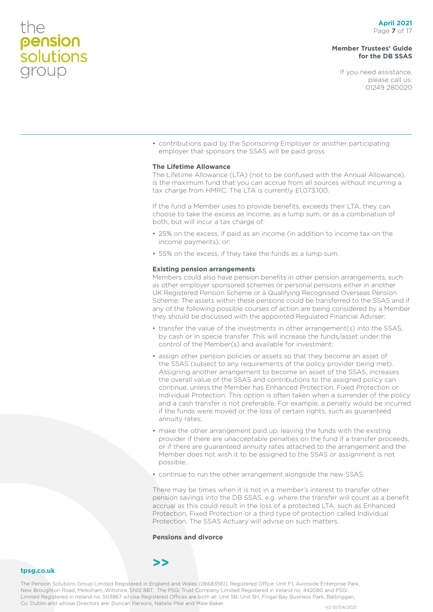#### **Member Trustees' Guide for the DB SSAS**

If you need assistance, please call us: 01249 280020

• contributions paid by the Sponsoring Employer or another participating employer that sponsors the SSAS will be paid gross.

#### **The Lifetime Allowance**

The Lifetime Allowance (LTA) (not to be confused with the Annual Allowance), is the maximum fund that you can accrue from all sources without incurring a tax charge from HMRC. The LTA is currently £1,073,100.

If the fund a Member uses to provide benefits, exceeds their LTA, they can choose to take the excess as income, as a lump sum, or as a combination of both, but will incur a tax charge of:

- 25% on the excess, if paid as an income (in addition to income tax on the income payments), or:
- 55% on the excess, if they take the funds as a lump sum.

#### **Existing pension arrangements**

Members could also have pension benefits in other pension arrangements, such as other employer sponsored schemes or personal pensions either in another UK Registered Pension Scheme or a Qualifying Recognised Overseas Pension Scheme. The assets within these pensions could be transferred to the SSAS and if any of the following possible courses of action are being considered by a Member they should be discussed with the appointed Regulated Financial Adviser:

- transfer the value of the investments in other arrangement(s) into the SSAS, by cash or In specie transfer. This will increase the funds/asset under the control of the Member(s) and available for investment;
- assign other pension policies or assets so that they become an asset of the SSAS (subject to any requirements of the policy provider being met). Assigning another arrangement to become an asset of the SSAS, increases the overall value of the SSAS and contributions to the assigned policy can continue, unless the Member has Enhanced Protection, Fixed Protection or Individual Protection. This option is often taken when a surrender of the policy and a cash transfer is not preferable. For example, a penalty would be incurred if the funds were moved or the loss of certain rights, such as guaranteed annuity rates;
- make the other arrangement paid up, leaving the funds with the existing provider if there are unacceptable penalties on the fund if a transfer proceeds, or if there are guaranteed annuity rates attached to the arrangement and the Member does not wish it to be assigned to the SSAS or assignment is not possible;
- continue to run the other arrangement alongside the new SSAS.

There may be times when it is not in a member's interest to transfer other pension savings into the DB SSAS, e.g. where the transfer will count as a benefit accrual as this could result in the loss of a protected LTA, such as Enhanced Protection, Fixed Protection or a third type of protection called Individual Protection. The SSAS Actuary will advise on such matters.

#### **Pensions and divorce**

### **>>**

**tpsg.co.uk**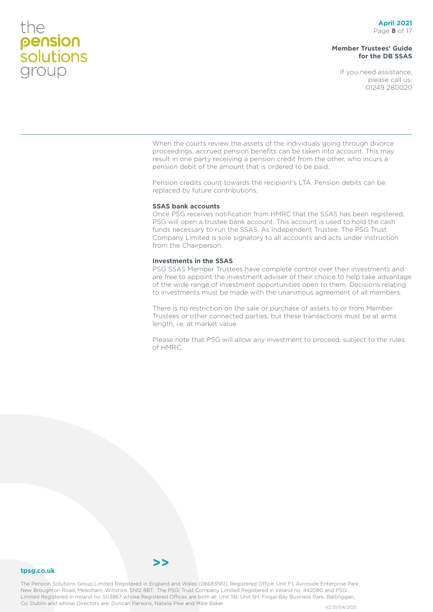#### **Member Trustees' Guide for the DB SSAS**

If you need assistance, please call us: 01249 280020

When the courts review the assets of the individuals going through divorce proceedings, accrued pension benefits can be taken into account. This may result in one party receiving a pension credit from the other, who incurs a pension debit of the amount that is ordered to be paid.

Pension credits count towards the recipient's LTA. Pension debits can be replaced by future contributions.

#### **SSAS bank accounts**

Once PSG receives notification from HMRC that the SSAS has been registered, PSG will open a trustee bank account. This account is used to hold the cash funds necessary to run the SSAS. As Independent Trustee, The PSG Trust Company Limited is sole signatory to all accounts and acts under instruction from the Chairperson.

#### **Investments in the SSAS**

PSG SSAS Member Trustees have complete control over their investments and are free to appoint the investment adviser of their choice to help take advantage of the wide range of investment opportunities open to them. Decisions relating to investments must be made with the unanimous agreement of all members.

There is no restriction on the sale or purchase of assets to or from Member Trustees or other connected parties, but these transactions must be at arms length, i.e. at market value.

Please note that PSG will allow any investment to proceed, subject to the rules of HMRC.

#### **tpsg.co.uk**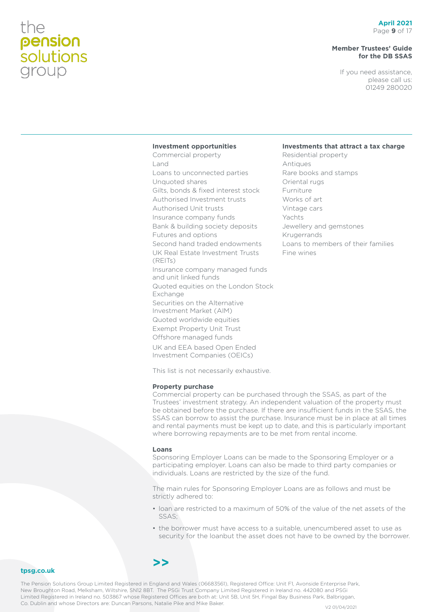#### **Member Trustees' Guide for the DB SSAS**

If you need assistance, please call us: 01249 280020

**Investments that attract a tax charge**

Residential property

Rare books and stamps

Jewellery and gemstones

Loans to members of their families

Antiques

Oriental rugs Furniture Works of art Vintage cars Yachts

Krugerrands

Fine wines

#### **Investment opportunities**

Commercial property Land Loans to unconnected parties Unquoted shares Gilts, bonds & fixed interest stock Authorised Investment trusts Authorised Unit trusts Insurance company funds Bank & building society deposits Futures and options Second hand traded endowments UK Real Estate Investment Trusts (REITs) Insurance company managed funds and unit linked funds Quoted equities on the London Stock Exchange Securities on the Alternative Investment Market (AIM) Quoted worldwide equities Exempt Property Unit Trust Offshore managed funds UK and EEA based Open Ended Investment Companies (OEICs)

This list is not necessarily exhaustive.

#### **Property purchase**

Commercial property can be purchased through the SSAS, as part of the Trustees' investment strategy. An independent valuation of the property must be obtained before the purchase. If there are insufficient funds in the SSAS, the SSAS can borrow to assist the purchase. Insurance must be in place at all times and rental payments must be kept up to date, and this is particularly important where borrowing repayments are to be met from rental income.

#### **Loans**

**>>**

Sponsoring Employer Loans can be made to the Sponsoring Employer or a participating employer. Loans can also be made to third party companies or individuals. Loans are restricted by the size of the fund.

The main rules for Sponsoring Employer Loans are as follows and must be strictly adhered to:

- loan are restricted to a maximum of 50% of the value of the net assets of the SSAS;
- the borrower must have access to a suitable, unencumbered asset to use as security for the loanbut the asset does not have to be owned by the borrower.

#### **tpsg.co.uk**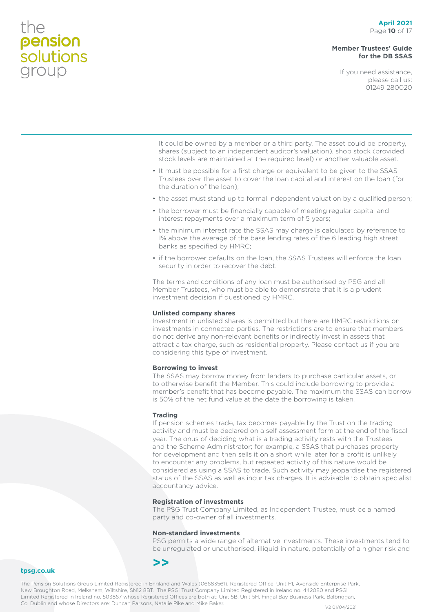#### **Member Trustees' Guide for the DB SSAS**

If you need assistance, please call us: 01249 280020

It could be owned by a member or a third party. The asset could be property, shares (subject to an independent auditor's valuation), shop stock (provided stock levels are maintained at the required level) or another valuable asset.

- It must be possible for a first charge or equivalent to be given to the SSAS Trustees over the asset to cover the loan capital and interest on the loan (for the duration of the loan);
- the asset must stand up to formal independent valuation by a qualified person;
- the borrower must be financially capable of meeting regular capital and interest repayments over a maximum term of 5 years;
- the minimum interest rate the SSAS may charge is calculated by reference to 1% above the average of the base lending rates of the 6 leading high street banks as specified by HMRC;
- if the borrower defaults on the loan, the SSAS Trustees will enforce the loan security in order to recover the debt.

The terms and conditions of any loan must be authorised by PSG and all Member Trustees, who must be able to demonstrate that it is a prudent investment decision if questioned by HMRC.

#### **Unlisted company shares**

Investment in unlisted shares is permitted but there are HMRC restrictions on investments in connected parties. The restrictions are to ensure that members do not derive any non-relevant benefits or indirectly invest in assets that attract a tax charge, such as residential property. Please contact us if you are considering this type of investment.

#### **Borrowing to invest**

The SSAS may borrow money from lenders to purchase particular assets, or to otherwise benefit the Member. This could include borrowing to provide a member's benefit that has become payable. The maximum the SSAS can borrow is 50% of the net fund value at the date the borrowing is taken.

#### **Trading**

If pension schemes trade, tax becomes payable by the Trust on the trading activity and must be declared on a self assessment form at the end of the fiscal year. The onus of deciding what is a trading activity rests with the Trustees and the Scheme Administrator; for example, a SSAS that purchases property for development and then sells it on a short while later for a profit is unlikely to encounter any problems, but repeated activity of this nature would be considered as using a SSAS to trade. Such activity may jeopardise the registered status of the SSAS as well as incur tax charges. It is advisable to obtain specialist accountancy advice.

#### **Registration of investments**

The PSG Trust Company Limited, as Independent Trustee, must be a named party and co-owner of all investments.

#### **Non-standard investments**

PSG permits a wide range of alternative investments. These investments tend to be unregulated or unauthorised, illiquid in nature, potentially of a higher risk and



**tpsg.co.uk**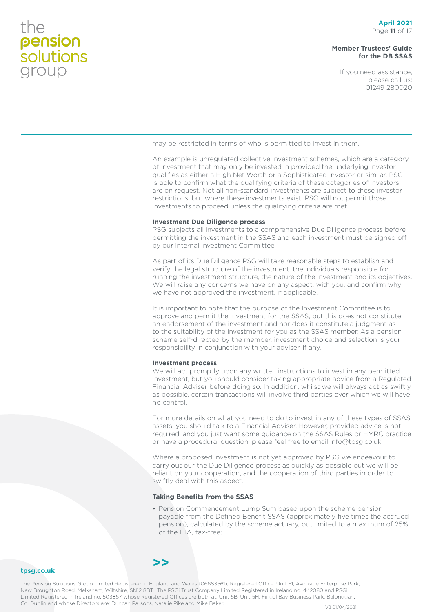#### **Member Trustees' Guide for the DB SSAS**

If you need assistance, please call us: 01249 280020

may be restricted in terms of who is permitted to invest in them.

An example is unregulated collective investment schemes, which are a category of investment that may only be invested in provided the underlying investor qualifies as either a High Net Worth or a Sophisticated Investor or similar. PSG is able to confirm what the qualifying criteria of these categories of investors are on request. Not all non-standard investments are subject to these investor restrictions, but where these investments exist, PSG will not permit those investments to proceed unless the qualifying criteria are met.

#### **Investment Due Diligence process**

PSG subjects all investments to a comprehensive Due Diligence process before permitting the investment in the SSAS and each investment must be signed off by our internal Investment Committee.

As part of its Due Diligence PSG will take reasonable steps to establish and verify the legal structure of the investment, the individuals responsible for running the investment structure, the nature of the investment and its objectives. We will raise any concerns we have on any aspect, with you, and confirm why we have not approved the investment, if applicable.

It is important to note that the purpose of the Investment Committee is to approve and permit the investment for the SSAS, but this does not constitute an endorsement of the investment and nor does it constitute a judgment as to the suitability of the investment for you as the SSAS member. As a pension scheme self-directed by the member, investment choice and selection is your responsibility in conjunction with your adviser, if any.

#### **Investment process**

We will act promptly upon any written instructions to invest in any permitted investment, but you should consider taking appropriate advice from a Regulated Financial Adviser before doing so. In addition, whilst we will always act as swiftly as possible, certain transactions will involve third parties over which we will have no control.

For more details on what you need to do to invest in any of these types of SSAS assets, you should talk to a Financial Adviser. However, provided advice is not required, and you just want some guidance on the SSAS Rules or HMRC practice or have a procedural question, please feel free to email info@tpsg.co.uk.

Where a proposed investment is not yet approved by PSG we endeavour to carry out our the Due Diligence process as quickly as possible but we will be reliant on your cooperation, and the cooperation of third parties in order to swiftly deal with this aspect.

#### **Taking Benefits from the SSAS**

• Pension Commencement Lump Sum based upon the scheme pension payable from the Defined Benefit SSAS (approximately five times the accrued pension), calculated by the scheme actuary, but limited to a maximum of 25% of the LTA, tax-free;

#### **tpsg.co.uk**

The Pension Solutions Group Limited Registered in England and Wales (06683561), Registered Office: Unit F1, Avonside Enterprise Park, New Broughton Road, Melksham, Wiltshire, SN12 8BT. The PSGi Trust Company Limited Registered in Ireland no. 442080 and PSGi Limited Registered in Ireland no. 503867 whose Registered Offices are both at: Unit 5B, Unit 5H, Fingal Bay Business Park, Balbriggan, Co. Dublin and whose Directors are: Duncan Parsons, Natalie Pike and Mike Baker.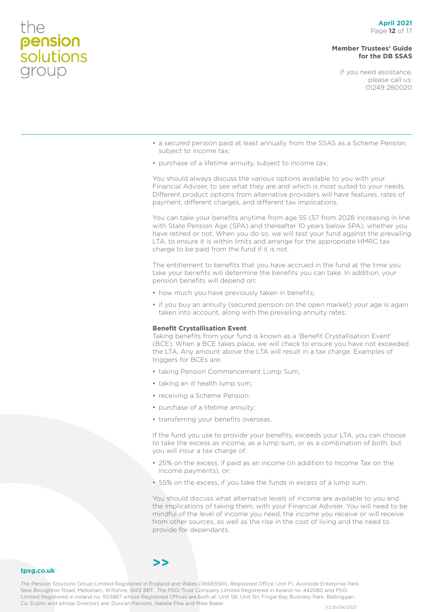#### **Member Trustees' Guide for the DB SSAS**

If you need assistance, please call us: 01249 280020

- a secured pension paid at least annually from the SSAS as a Scheme Pension, subject to income tax;
- purchase of a lifetime annuity, subject to income tax;

You should always discuss the various options available to you with your Financial Adviser, to see what they are and which is most suited to your needs. Different product options from alternative providers will have features, rates of payment, different charges, and different tax implications.

You can take your benefits anytime from age 55 (57 from 2028 increasing in line with State Pension Age (SPA) and thereafter 10 years below SPA), whether you have retired or not. When you do so, we will test your fund against the prevailing LTA, to ensure it is within limits and arrange for the appropriate HMRC tax charge to be paid from the fund if it is not.

The entitlement to benefits that you have accrued in the fund at the time you take your benefits will determine the benefits you can take. In addition, your pension benefits will depend on:

- how much you have previously taken in benefits;
- if you buy an annuity (secured pension on the open market) your age is again taken into account, along with the prevailing annuity rates;

#### **Benefit Crystallisation Event**

Taking benefits from your fund is known as a 'Benefit Crystallisation Event' (BCE). When a BCE takes place, we will check to ensure you have not exceeded the LTA. Any amount above the LTA will result in a tax charge. Examples of triggers for BCEs are:

- taking Pension Commencement Lump Sum;
- taking an ill health lump sum;
- receiving a Scheme Pension;
- purchase of a lifetime annuity;
- transferring your benefits overseas.

If the fund you use to provide your benefits, exceeds your LTA, you can choose to take the excess as income, as a lump sum, or as a combination of both, but you will incur a tax charge of:

- 25% on the excess, if paid as an income (in addition to Income Tax on the income payments), or:
- 55% on the excess, if you take the funds in excess of a lump sum.

You should discuss what alternative levels of income are available to you and the implications of taking them, with your Financial Adviser. You will need to be mindful of the level of income you need, the income you receive or will receive from other sources, as well as the rise in the cost of living and the need to provide for dependants.

#### **tpsg.co.uk**

The Pension Solutions Group Limited Registered in England and Wales (06683561), Registered Office: Unit F1, Avonside Enterprise Park, New Broughton Road, Melksham, Wiltshire, SN12 8BT. The PSGi Trust Company Limited Registered in Ireland no. 442080 and PSGi Limited Registered in Ireland no. 503867 whose Registered Offices are both at: Unit 5B, Unit 5H, Fingal Bay Business Park, Balbriggan, Co. Dublin and whose Directors are: Duncan Parsons, Natalie Pike and Mike Baker.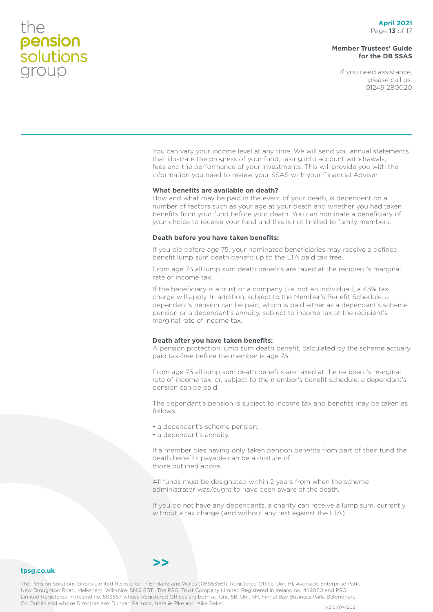#### **Member Trustees' Guide for the DB SSAS**

If you need assistance, please call us: 01249 280020

You can vary your income level at any time. We will send you annual statements that illustrate the progress of your fund, taking into account withdrawals, fees and the performance of your investments. This will provide you with the information you need to review your SSAS with your Financial Adviser.

#### **What benefits are available on death?**

How and what may be paid in the event of your death, is dependent on a number of factors such as your age at your death and whether you had taken benefits from your fund before your death. You can nominate a beneficiary of your choice to receive your fund and this is not limited to family members.

#### **Death before you have taken benefits:**

If you die before age 75, your nominated beneficiaries may receive a defined benefit lump sum death benefit up to the LTA paid tax free.

From age 75 all lump sum death benefits are taxed at the recipient's marginal rate of income tax.

If the beneficiary is a trust or a company (i.e. not an individual), a 45% tax charge will apply. In addition, subject to the Member's Benefit Schedule, a dependant's pension can be paid, which is paid either as a dependant's scheme pension or a dependant's annuity, subject to income tax at the recipient's marginal rate of income tax.

#### **Death after you have taken benefits:**

A pension protection lump sum death benefit, calculated by the scheme actuary, paid tax-free before the member is age 75.

From age 75 all lump sum death benefits are taxed at the recipient's marginal rate of income tax. or, subject to the member's benefit schedule, a dependant's pension can be paid.

The dependant's pension is subject to income tax and benefits may be taken as follows:

- a dependant's scheme pension;
- a dependant's annuity.

If a member dies having only taken pension benefits from part of their fund the death benefits payable can be a mixture of those outlined above.

All funds must be designated within 2 years from when the scheme administrator was/ought to have been aware of the death.

If you do not have any dependants, a charity can receive a lump sum, currently without a tax charge (and without any test against the LTA).

#### **tpsg.co.uk**

The Pension Solutions Group Limited Registered in England and Wales (06683561), Registered Office: Unit F1, Avonside Enterprise Park, New Broughton Road, Melksham, Wiltshire, SN12 8BT. The PSGi Trust Company Limited Registered in Ireland no. 442080 and PSGi Limited Registered in Ireland no. 503867 whose Registered Offices are both at: Unit 5B, Unit 5H, Fingal Bay Business Park, Balbriggan, Co. Dublin and whose Directors are: Duncan Parsons, Natalie Pike and Mike Baker.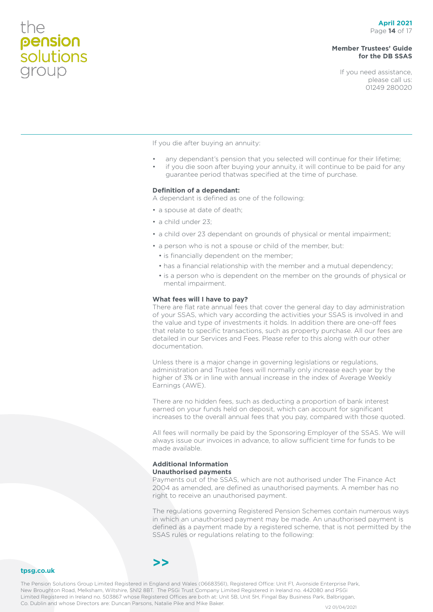#### **April 2021** Page **14** of 17

#### **Member Trustees' Guide for the DB SSAS**

If you need assistance, please call us: 01249 280020

If you die after buying an annuity:

- any dependant's pension that you selected will continue for their lifetime;
- if you die soon after buying your annuity, it will continue to be paid for any guarantee period thatwas specified at the time of purchase.

#### **Definition of a dependant:**

A dependant is defined as one of the following:

- a spouse at date of death;
- a child under 23;
- a child over 23 dependant on grounds of physical or mental impairment;
- a person who is not a spouse or child of the member, but:
	- is financially dependent on the member;
	- has a financial relationship with the member and a mutual dependency;
	- is a person who is dependent on the member on the grounds of physical or mental impairment.

#### **What fees will I have to pay?**

There are flat rate annual fees that cover the general day to day administration of your SSAS, which vary according the activities your SSAS is involved in and the value and type of investments it holds. In addition there are one-off fees that relate to specific transactions, such as property purchase. All our fees are detailed in our Services and Fees. Please refer to this along with our other documentation.

Unless there is a major change in governing legislations or regulations, administration and Trustee fees will normally only increase each year by the higher of 3% or in line with annual increase in the index of Average Weekly Earnings (AWE).

There are no hidden fees, such as deducting a proportion of bank interest earned on your funds held on deposit, which can account for significant increases to the overall annual fees that you pay, compared with those quoted.

All fees will normally be paid by the Sponsoring Employer of the SSAS. We will always issue our invoices in advance, to allow sufficient time for funds to be made available.

#### **Additional Information Unauthorised payments**

Payments out of the SSAS, which are not authorised under The Finance Act 2004 as amended, are defined as unauthorised payments. A member has no right to receive an unauthorised payment.

The regulations governing Registered Pension Schemes contain numerous ways in which an unauthorised payment may be made. An unauthorised payment is defined as a payment made by a registered scheme, that is not permitted by the SSAS rules or regulations relating to the following:

#### **tpsg.co.uk**

the

**pension**<br>solutions

group

The Pension Solutions Group Limited Registered in England and Wales (06683561), Registered Office: Unit F1, Avonside Enterprise Park, New Broughton Road, Melksham, Wiltshire, SN12 8BT. The PSGi Trust Company Limited Registered in Ireland no. 442080 and PSGi Limited Registered in Ireland no. 503867 whose Registered Offices are both at: Unit 5B, Unit 5H, Fingal Bay Business Park, Balbriggan, Co. Dublin and whose Directors are: Duncan Parsons, Natalie Pike and Mike Baker.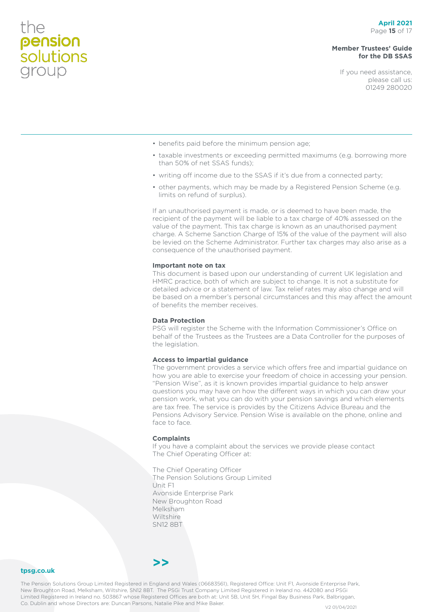#### **April 2021** Page **15** of 17

#### **Member Trustees' Guide for the DB SSAS**

If you need assistance, please call us: 01249 280020

- benefits paid before the minimum pension age;
- taxable investments or exceeding permitted maximums (e.g. borrowing more than 50% of net SSAS funds);
- writing off income due to the SSAS if it's due from a connected party;
- other payments, which may be made by a Registered Pension Scheme (e.g. limits on refund of surplus).

If an unauthorised payment is made, or is deemed to have been made, the recipient of the payment will be liable to a tax charge of 40% assessed on the value of the payment. This tax charge is known as an unauthorised payment charge. A Scheme Sanction Charge of 15% of the value of the payment will also be levied on the Scheme Administrator. Further tax charges may also arise as a consequence of the unauthorised payment.

#### **Important note on tax**

This document is based upon our understanding of current UK legislation and HMRC practice, both of which are subject to change. It is not a substitute for detailed advice or a statement of law. Tax relief rates may also change and will be based on a member's personal circumstances and this may affect the amount of benefits the member receives.

#### **Data Protection**

PSG will register the Scheme with the Information Commissioner's Office on behalf of the Trustees as the Trustees are a Data Controller for the purposes of the legislation.

#### **Access to impartial guidance**

The government provides a service which offers free and impartial guidance on how you are able to exercise your freedom of choice in accessing your pension. "Pension Wise", as it is known provides impartial guidance to help answer questions you may have on how the different ways in which you can draw your pension work, what you can do with your pension savings and which elements are tax free. The service is provides by the Citizens Advice Bureau and the Pensions Advisory Service. Pension Wise is available on the phone, online and face to face.

#### **Complaints**

If you have a complaint about the services we provide please contact The Chief Operating Officer at:

The Chief Operating Officer The Pension Solutions Group Limited Unit F1 Avonside Enterprise Park New Broughton Road Melksham Wiltshire SN12 8BT

#### **tpsg.co.uk**

the

pension<br>solutions

group

The Pension Solutions Group Limited Registered in England and Wales (06683561), Registered Office: Unit F1, Avonside Enterprise Park, New Broughton Road, Melksham, Wiltshire, SN12 8BT. The PSGi Trust Company Limited Registered in Ireland no. 442080 and PSGi Limited Registered in Ireland no. 503867 whose Registered Offices are both at: Unit 5B, Unit 5H, Fingal Bay Business Park, Balbriggan, Co. Dublin and whose Directors are: Duncan Parsons, Natalie Pike and Mike Baker.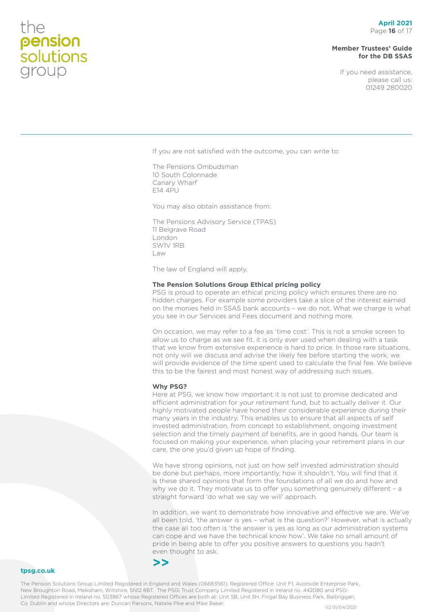#### **Member Trustees' Guide for the DB SSAS**

If you need assistance, please call us: 01249 280020

If you are not satisfied with the outcome, you can write to:

The Pensions Ombudsman 10 South Colonnade Canary Wharf E14 4PU

You may also obtain assistance from:

The Pensions Advisory Service (TPAS) 11 Belgrave Road London SW1V 1RB Law

The law of England will apply.

#### **The Pension Solutions Group Ethical pricing policy**

PSG is proud to operate an ethical pricing policy which ensures there are no hidden charges. For example some providers take a slice of the interest earned on the monies held in SSAS bank accounts – we do not. What we charge is what you see in our Services and Fees document and nothing more.

On occasion, we may refer to a fee as 'time cost'. This is not a smoke screen to allow us to charge as we see fit, it is only ever used when dealing with a task that we know from extensive experience is hard to price. In those rare situations, not only will we discuss and advise the likely fee before starting the work, we will provide evidence of the time spent used to calculate the final fee. We believe this to be the fairest and most honest way of addressing such issues.

#### **Why PSG?**

Here at PSG, we know how important it is not just to promise dedicated and efficient administration for your retirement fund, but to actually deliver it. Our highly motivated people have honed their considerable experience during their many years in the industry. This enables us to ensure that all aspects of self invested administration, from concept to establishment, ongoing investment selection and the timely payment of benefits, are in good hands. Our team is focused on making your experience, when placing your retirement plans in our care, the one you'd given up hope of finding.

We have strong opinions, not just on how self invested administration should be done but perhaps, more importantly, how it shouldn't. You will find that it is these shared opinions that form the foundations of all we do and how and why we do it. They motivate us to offer you something genuinely different – a straight forward 'do what we say we will' approach.

In addition, we want to demonstrate how innovative and effective we are. We've all been told, 'the answer is yes – what is the question?' However, what is actually the case all too often is 'the answer is yes as long as our administration systems can cope and we have the technical know how'. We take no small amount of pride in being able to offer you positive answers to questions you hadn't even thought to ask.

#### **tpsg.co.uk**

The Pension Solutions Group Limited Registered in England and Wales (06683561), Registered Office: Unit F1, Avonside Enterprise Park, New Broughton Road, Melksham, Wiltshire, SN12 8BT. The PSGi Trust Company Limited Registered in Ireland no. 442080 and PSGi Limited Registered in Ireland no. 503867 whose Registered Offices are both at: Unit 5B, Unit 5H, Fingal Bay Business Park, Balbriggan, Co. Dublin and whose Directors are: Duncan Parsons, Natalie Pike and Mike Baker.